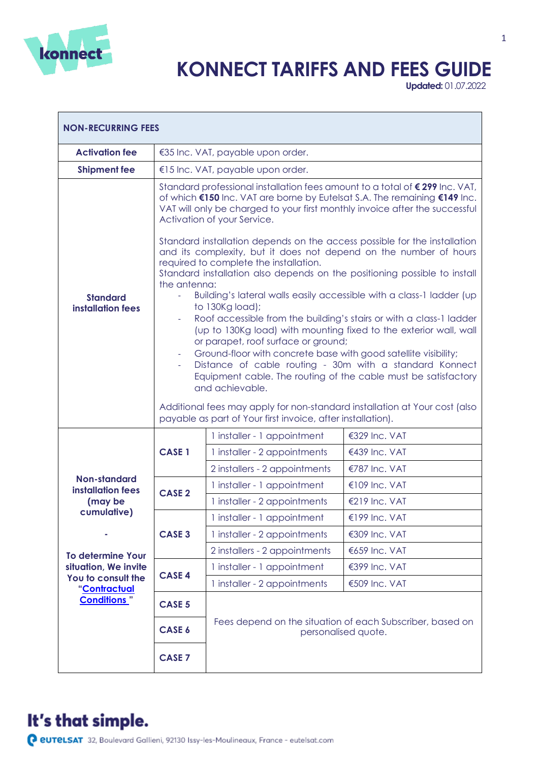

## **KONNECT TARIFFS AND FEES GUIDE**

**Updated:** 01.07.2022

 $\overline{\phantom{0}}$ 

| <b>NON-RECURRING FEES</b>                                                              |                                                                                                                                                                                                                                                                                                                                                                                                                                                                                                                                                                                                                                                                                                                                                                                                                                                                                                                                                                                                                                                                                                                                                                                                                                 |                                                                                  |               |
|----------------------------------------------------------------------------------------|---------------------------------------------------------------------------------------------------------------------------------------------------------------------------------------------------------------------------------------------------------------------------------------------------------------------------------------------------------------------------------------------------------------------------------------------------------------------------------------------------------------------------------------------------------------------------------------------------------------------------------------------------------------------------------------------------------------------------------------------------------------------------------------------------------------------------------------------------------------------------------------------------------------------------------------------------------------------------------------------------------------------------------------------------------------------------------------------------------------------------------------------------------------------------------------------------------------------------------|----------------------------------------------------------------------------------|---------------|
| <b>Activation fee</b>                                                                  | €35 Inc. VAT, payable upon order.                                                                                                                                                                                                                                                                                                                                                                                                                                                                                                                                                                                                                                                                                                                                                                                                                                                                                                                                                                                                                                                                                                                                                                                               |                                                                                  |               |
| <b>Shipment fee</b>                                                                    |                                                                                                                                                                                                                                                                                                                                                                                                                                                                                                                                                                                                                                                                                                                                                                                                                                                                                                                                                                                                                                                                                                                                                                                                                                 | €15 Inc. VAT, payable upon order.                                                |               |
| <b>Standard</b><br><b>installation fees</b>                                            | Standard professional installation fees amount to a total of €299 Inc. VAT,<br>of which €150 Inc. VAT are borne by Eutelsat S.A. The remaining €149 Inc.<br>VAT will only be charged to your first monthly invoice after the successful<br>Activation of your Service.<br>Standard installation depends on the access possible for the installation<br>and its complexity, but it does not depend on the number of hours<br>required to complete the installation.<br>Standard installation also depends on the positioning possible to install<br>the antenna:<br>Building's lateral walls easily accessible with a class-1 ladder (up<br>to 130Kg load);<br>Roof accessible from the building's stairs or with a class-1 ladder<br>$\blacksquare$<br>(up to 130Kg load) with mounting fixed to the exterior wall, wall<br>or parapet, roof surface or ground;<br>Ground-floor with concrete base with good satellite visibility;<br>Distance of cable routing - 30m with a standard Konnect<br>Equipment cable. The routing of the cable must be satisfactory<br>and achievable.<br>Additional fees may apply for non-standard installation at Your cost (also<br>payable as part of Your first invoice, after installation). |                                                                                  |               |
|                                                                                        |                                                                                                                                                                                                                                                                                                                                                                                                                                                                                                                                                                                                                                                                                                                                                                                                                                                                                                                                                                                                                                                                                                                                                                                                                                 | 1 installer - 1 appointment                                                      | €329 Inc. VAT |
|                                                                                        | <b>CASE 1</b>                                                                                                                                                                                                                                                                                                                                                                                                                                                                                                                                                                                                                                                                                                                                                                                                                                                                                                                                                                                                                                                                                                                                                                                                                   | 1 installer - 2 appointments                                                     | €439 Inc. VAT |
|                                                                                        |                                                                                                                                                                                                                                                                                                                                                                                                                                                                                                                                                                                                                                                                                                                                                                                                                                                                                                                                                                                                                                                                                                                                                                                                                                 | 2 installers - 2 appointments                                                    | €787 Inc. VAT |
| Non-standard                                                                           | <b>CASE 2</b>                                                                                                                                                                                                                                                                                                                                                                                                                                                                                                                                                                                                                                                                                                                                                                                                                                                                                                                                                                                                                                                                                                                                                                                                                   | 1 installer - 1 appointment                                                      | €109 Inc. VAT |
| installation fees<br>(may be                                                           |                                                                                                                                                                                                                                                                                                                                                                                                                                                                                                                                                                                                                                                                                                                                                                                                                                                                                                                                                                                                                                                                                                                                                                                                                                 | 1 installer - 2 appointments                                                     | €219 Inc. VAT |
| cumulative)                                                                            |                                                                                                                                                                                                                                                                                                                                                                                                                                                                                                                                                                                                                                                                                                                                                                                                                                                                                                                                                                                                                                                                                                                                                                                                                                 | 1 installer - 1 appointment                                                      | €199 Inc. VAT |
|                                                                                        | <b>CASE 3</b>                                                                                                                                                                                                                                                                                                                                                                                                                                                                                                                                                                                                                                                                                                                                                                                                                                                                                                                                                                                                                                                                                                                                                                                                                   | 1 installer - 2 appointments                                                     | €309 Inc. VAT |
| <b>To determine Your</b><br>situation, We invite<br>You to consult the<br>"Contractual |                                                                                                                                                                                                                                                                                                                                                                                                                                                                                                                                                                                                                                                                                                                                                                                                                                                                                                                                                                                                                                                                                                                                                                                                                                 | 2 installers - 2 appointments                                                    | €659 Inc. VAT |
|                                                                                        | <b>CASE 4</b>                                                                                                                                                                                                                                                                                                                                                                                                                                                                                                                                                                                                                                                                                                                                                                                                                                                                                                                                                                                                                                                                                                                                                                                                                   | 1 installer - 1 appointment                                                      | €399 Inc. VAT |
|                                                                                        |                                                                                                                                                                                                                                                                                                                                                                                                                                                                                                                                                                                                                                                                                                                                                                                                                                                                                                                                                                                                                                                                                                                                                                                                                                 | 1 installer - 2 appointments                                                     | €509 Inc. VAT |
| <b>Conditions</b> "                                                                    | <b>CASE 5</b>                                                                                                                                                                                                                                                                                                                                                                                                                                                                                                                                                                                                                                                                                                                                                                                                                                                                                                                                                                                                                                                                                                                                                                                                                   | Fees depend on the situation of each Subscriber, based on<br>personalised quote. |               |
|                                                                                        | CASE 6                                                                                                                                                                                                                                                                                                                                                                                                                                                                                                                                                                                                                                                                                                                                                                                                                                                                                                                                                                                                                                                                                                                                                                                                                          |                                                                                  |               |
|                                                                                        | <b>CASE 7</b>                                                                                                                                                                                                                                                                                                                                                                                                                                                                                                                                                                                                                                                                                                                                                                                                                                                                                                                                                                                                                                                                                                                                                                                                                   |                                                                                  |               |

## It's that simple.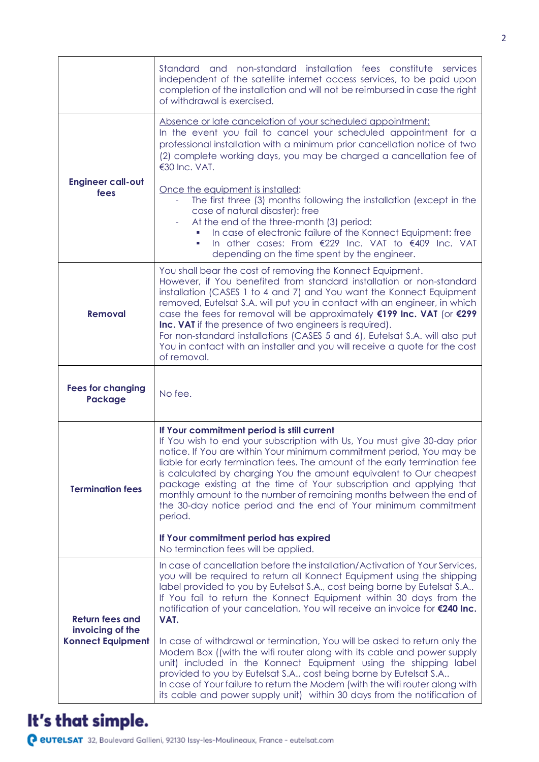|                                                                        | Standard and non-standard installation fees constitute services<br>independent of the satellite internet access services, to be paid upon<br>completion of the installation and will not be reimbursed in case the right<br>of withdrawal is exercised.                                                                                                                                                                                                                                                                                                                                                  |  |  |
|------------------------------------------------------------------------|----------------------------------------------------------------------------------------------------------------------------------------------------------------------------------------------------------------------------------------------------------------------------------------------------------------------------------------------------------------------------------------------------------------------------------------------------------------------------------------------------------------------------------------------------------------------------------------------------------|--|--|
|                                                                        | Absence or late cancelation of your scheduled appointment:<br>In the event you fail to cancel your scheduled appointment for a<br>professional installation with a minimum prior cancellation notice of two<br>(2) complete working days, you may be charged a cancellation fee of<br>€30 Inc. VAT.                                                                                                                                                                                                                                                                                                      |  |  |
| <b>Engineer call-out</b><br>fees                                       | Once the equipment is installed:<br>The first three (3) months following the installation (except in the<br>case of natural disaster): free<br>At the end of the three-month (3) period:<br>In case of electronic failure of the Konnect Equipment: free<br>In other cases: From €229 Inc. VAT to €409 Inc. VAT<br>depending on the time spent by the engineer.                                                                                                                                                                                                                                          |  |  |
| <b>Removal</b>                                                         | You shall bear the cost of removing the Konnect Equipment.<br>However, if You benefited from standard installation or non-standard<br>installation (CASES 1 to 4 and 7) and You want the Konnect Equipment<br>removed, Eutelsat S.A. will put you in contact with an engineer, in which<br>case the fees for removal will be approximately €199 Inc. VAT (or €299<br>Inc. VAT if the presence of two engineers is required).<br>For non-standard installations (CASES 5 and 6), Eutelsat S.A. will also put<br>You in contact with an installer and you will receive a quote for the cost<br>of removal. |  |  |
| <b>Fees for changing</b><br>Package                                    | No fee.                                                                                                                                                                                                                                                                                                                                                                                                                                                                                                                                                                                                  |  |  |
| <b>Termination fees</b>                                                | If Your commitment period is still current<br>If You wish to end your subscription with Us, You must give 30-day prior<br>notice. If You are within Your minimum commitment period, You may be<br>liable for early termination fees. The amount of the early termination fee<br>is calculated by charging You the amount equivalent to Our cheapest<br>package existing at the time of Your subscription and applying that<br>monthly amount to the number of remaining months between the end of<br>the 30-day notice period and the end of Your minimum commitment<br>period.                          |  |  |
|                                                                        | If Your commitment period has expired<br>No termination fees will be applied.                                                                                                                                                                                                                                                                                                                                                                                                                                                                                                                            |  |  |
| <b>Return fees and</b><br>invoicing of the<br><b>Konnect Equipment</b> | In case of cancellation before the installation/Activation of Your Services,<br>you will be required to return all Konnect Equipment using the shipping<br>label provided to you by Eutelsat S.A., cost being borne by Eutelsat S.A<br>If You fail to return the Konnect Equipment within 30 days from the<br>notification of your cancelation, You will receive an invoice for €240 Inc.<br>VAT.                                                                                                                                                                                                        |  |  |
|                                                                        | In case of withdrawal or termination, You will be asked to return only the<br>Modem Box ((with the wifi router along with its cable and power supply<br>unit) included in the Konnect Equipment using the shipping label<br>provided to you by Eutelsat S.A., cost being borne by Eutelsat S.A<br>In case of Your failure to return the Modem (with the wifi router along with<br>its cable and power supply unit) within 30 days from the notification of                                                                                                                                               |  |  |

## It's that simple.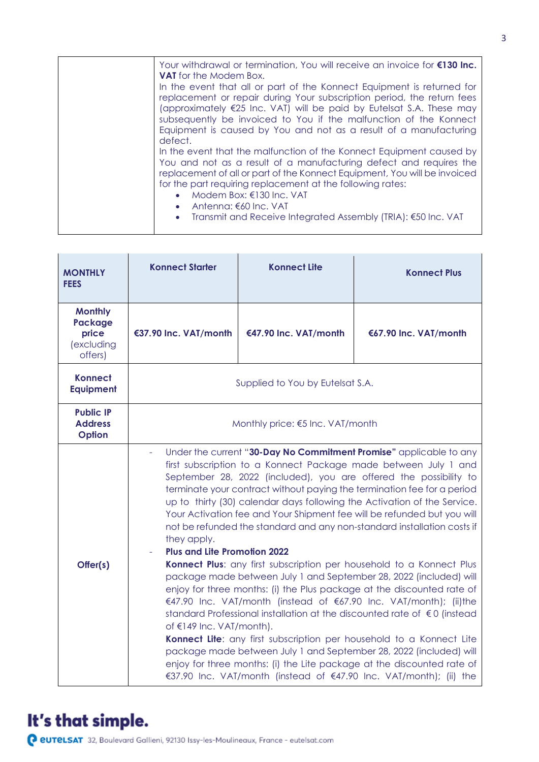| Your withdrawal or termination, You will receive an invoice for €130 Inc.<br><b>VAT</b> for the Modem Box.                                                                                                                                                                                                                                                                                                                             |
|----------------------------------------------------------------------------------------------------------------------------------------------------------------------------------------------------------------------------------------------------------------------------------------------------------------------------------------------------------------------------------------------------------------------------------------|
| In the event that all or part of the Konnect Equipment is returned for<br>replacement or repair during Your subscription period, the return fees<br>(approximately €25 Inc. VAT) will be paid by Eutelsat S.A. These may<br>subsequently be invoiced to You if the malfunction of the Konnect<br>Equipment is caused by You and not as a result of a manufacturing<br>defect.                                                          |
| In the event that the malfunction of the Konnect Equipment caused by<br>You and not as a result of a manufacturing defect and requires the<br>replacement of all or part of the Konnect Equipment, You will be invoiced<br>for the part requiring replacement at the following rates:<br>Modem Box: €130 Inc. VAT<br>$\bullet$<br>• Antenna: $\epsilon$ 60 Inc. VAT<br>• Transmit and Receive Integrated Assembly (TRIA): €50 Inc. VAT |

| <b>MONTHLY</b><br><b>FEES</b>                                      | <b>Konnect Starter</b>                                                                                                                                                                                                                                                                                                                                                                                                                                                                                                                                                                                                                                                                                                                                                                                                                                                                                                                                                                                                                                                                                                                                                                                                                                                           | <b>Konnect Lite</b>   | <b>Konnect Plus</b>   |
|--------------------------------------------------------------------|----------------------------------------------------------------------------------------------------------------------------------------------------------------------------------------------------------------------------------------------------------------------------------------------------------------------------------------------------------------------------------------------------------------------------------------------------------------------------------------------------------------------------------------------------------------------------------------------------------------------------------------------------------------------------------------------------------------------------------------------------------------------------------------------------------------------------------------------------------------------------------------------------------------------------------------------------------------------------------------------------------------------------------------------------------------------------------------------------------------------------------------------------------------------------------------------------------------------------------------------------------------------------------|-----------------------|-----------------------|
| <b>Monthly</b><br><b>Package</b><br>price<br>(excluding<br>offers) | €37.90 Inc. VAT/month                                                                                                                                                                                                                                                                                                                                                                                                                                                                                                                                                                                                                                                                                                                                                                                                                                                                                                                                                                                                                                                                                                                                                                                                                                                            | €47.90 Inc. VAT/month | €67.90 Inc. VAT/month |
| Konnect<br><b>Equipment</b>                                        | Supplied to You by Eutelsat S.A.                                                                                                                                                                                                                                                                                                                                                                                                                                                                                                                                                                                                                                                                                                                                                                                                                                                                                                                                                                                                                                                                                                                                                                                                                                                 |                       |                       |
| <b>Public IP</b><br><b>Address</b><br>Option                       | Monthly price: €5 Inc. VAT/month                                                                                                                                                                                                                                                                                                                                                                                                                                                                                                                                                                                                                                                                                                                                                                                                                                                                                                                                                                                                                                                                                                                                                                                                                                                 |                       |                       |
| Offer(s)                                                           | Under the current "30-Day No Commitment Promise" applicable to any<br>first subscription to a Konnect Package made between July 1 and<br>September 28, 2022 (included), you are offered the possibility to<br>terminate your contract without paying the termination fee for a period<br>up to thirty (30) calendar days following the Activation of the Service.<br>Your Activation fee and Your Shipment fee will be refunded but you will<br>not be refunded the standard and any non-standard installation costs if<br>they apply.<br><b>Plus and Lite Promotion 2022</b><br>Konnect Plus: any first subscription per household to a Konnect Plus<br>package made between July 1 and September 28, 2022 (included) will<br>enjoy for three months: (i) the Plus package at the discounted rate of<br>€47.90 Inc. VAT/month (instead of €67.90 Inc. VAT/month); (ii)the<br>standard Professional installation at the discounted rate of €0 (instead<br>of €149 Inc. VAT/month).<br>Konnect Lite: any first subscription per household to a Konnect Lite<br>package made between July 1 and September 28, 2022 (included) will<br>enjoy for three months: (i) the Lite package at the discounted rate of<br>€37.90 Inc. VAT/month (instead of €47.90 Inc. VAT/month); (ii) the |                       |                       |

## It's that simple.